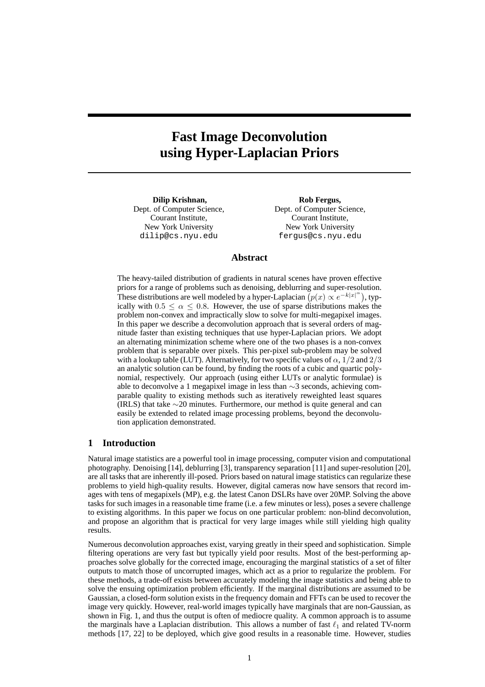# **Fast Image Deconvolution using Hyper-Laplacian Priors**

**Dilip Krishnan,** Dept. of Computer Science, Courant Institute, New York University dilip@cs.nyu.edu

**Rob Fergus,** Dept. of Computer Science, Courant Institute, New York University fergus@cs.nyu.edu

# **Abstract**

The heavy-tailed distribution of gradients in natural scenes have proven effective priors for a range of problems such as denoising, deblurring and super-resolution. These distributions are well modeled by a hyper-Laplacian  $(p(x) \propto e^{-k|x|^{\alpha}})$ , typically with  $0.5 \le \alpha \le 0.8$ . However, the use of sparse distributions makes the problem non-convex and impractically slow to solve for multi-megapixel images. In this paper we describe a deconvolution approach that is several orders of magnitude faster than existing techniques that use hyper-Laplacian priors. We adopt an alternating minimization scheme where one of the two phases is a non-convex problem that is separable over pixels. This per-pixel sub-problem may be solved with a lookup table (LUT). Alternatively, for two specific values of  $\alpha$ ,  $1/2$  and  $2/3$ an analytic solution can be found, by finding the roots of a cubic and quartic polynomial, respectively. Our approach (using either LUTs or analytic formulae) is able to deconvolve a 1 megapixel image in less than ∼3 seconds, achieving comparable quality to existing methods such as iteratively reweighted least squares (IRLS) that take ∼20 minutes. Furthermore, our method is quite general and can easily be extended to related image processing problems, beyond the deconvolution application demonstrated.

#### **1 Introduction**

Natural image statistics are a powerful tool in image processing, computer vision and computational photography. Denoising [14], deblurring [3], transparency separation [11] and super-resolution [20], are all tasks that are inherently ill-posed. Priors based on natural image statistics can regularize these problems to yield high-quality results. However, digital cameras now have sensors that record images with tens of megapixels (MP), e.g. the latest Canon DSLRs have over 20MP. Solving the above tasks for such images in a reasonable time frame (i.e. a few minutes or less), poses a severe challenge to existing algorithms. In this paper we focus on one particular problem: non-blind deconvolution, and propose an algorithm that is practical for very large images while still yielding high quality results.

Numerous deconvolution approaches exist, varying greatly in their speed and sophistication. Simple filtering operations are very fast but typically yield poor results. Most of the best-performing approaches solve globally for the corrected image, encouraging the marginal statistics of a set of filter outputs to match those of uncorrupted images, which act as a prior to regularize the problem. For these methods, a trade-off exists between accurately modeling the image statistics and being able to solve the ensuing optimization problem efficiently. If the marginal distributions are assumed to be Gaussian, a closed-form solution exists in the frequency domain and FFTs can be used to recover the image very quickly. However, real-world images typically have marginals that are non-Gaussian, as shown in Fig. 1, and thus the output is often of mediocre quality. A common approach is to assume the marginals have a Laplacian distribution. This allows a number of fast  $\ell_1$  and related TV-norm methods [17, 22] to be deployed, which give good results in a reasonable time. However, studies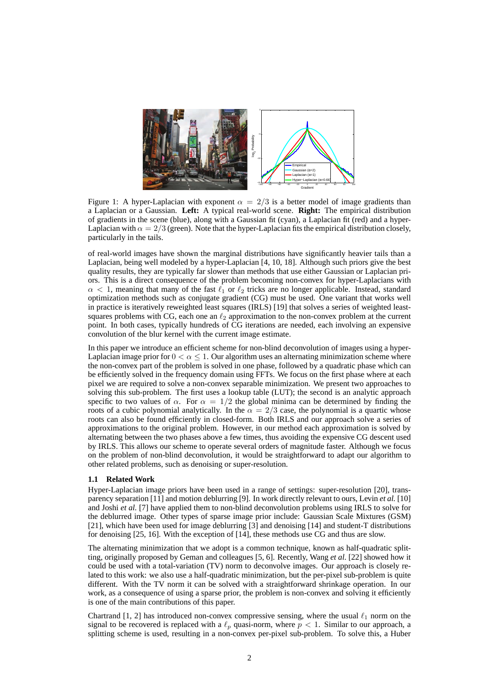

Figure 1: A hyper-Laplacian with exponent  $\alpha = 2/3$  is a better model of image gradients than a Laplacian or a Gaussian. **Left:** A typical real-world scene. **Right:** The empirical distribution of gradients in the scene (blue), along with a Gaussian fit (cyan), a Laplacian fit (red) and a hyper-Laplacian with  $\alpha = 2/3$  (green). Note that the hyper-Laplacian fits the empirical distribution closely, particularly in the tails.

of real-world images have shown the marginal distributions have significantly heavier tails than a Laplacian, being well modeled by a hyper-Laplacian [4, 10, 18]. Although such priors give the best quality results, they are typically far slower than methods that use either Gaussian or Laplacian priors. This is a direct consequence of the problem becoming non-convex for hyper-Laplacians with  $\alpha$  < 1, meaning that many of the fast  $\ell_1$  or  $\ell_2$  tricks are no longer applicable. Instead, standard optimization methods such as conjugate gradient (CG) must be used. One variant that works well in practice is iteratively reweighted least squares (IRLS) [19] that solves a series of weighted leastsquares problems with CG, each one an  $\ell_2$  approximation to the non-convex problem at the current point. In both cases, typically hundreds of CG iterations are needed, each involving an expensive convolution of the blur kernel with the current image estimate.

In this paper we introduce an efficient scheme for non-blind deconvolution of images using a hyper-Laplacian image prior for  $0 < \alpha < 1$ . Our algorithm uses an alternating minimization scheme where the non-convex part of the problem is solved in one phase, followed by a quadratic phase which can be efficiently solved in the frequency domain using FFTs. We focus on the first phase where at each pixel we are required to solve a non-convex separable minimization. We present two approaches to solving this sub-problem. The first uses a lookup table (LUT); the second is an analytic approach specific to two values of  $\alpha$ . For  $\alpha = 1/2$  the global minima can be determined by finding the roots of a cubic polynomial analytically. In the  $\alpha = 2/3$  case, the polynomial is a quartic whose roots can also be found efficiently in closed-form. Both IRLS and our approach solve a series of approximations to the original problem. However, in our method each approximation is solved by alternating between the two phases above a few times, thus avoiding the expensive CG descent used by IRLS. This allows our scheme to operate several orders of magnitude faster. Although we focus on the problem of non-blind deconvolution, it would be straightforward to adapt our algorithm to other related problems, such as denoising or super-resolution.

### **1.1 Related Work**

Hyper-Laplacian image priors have been used in a range of settings: super-resolution [20], transparency separation [11] and motion deblurring [9]. In work directly relevant to ours, Levin *et al.* [10] and Joshi *et al.* [7] have applied them to non-blind deconvolution problems using IRLS to solve for the deblurred image. Other types of sparse image prior include: Gaussian Scale Mixtures (GSM) [21], which have been used for image deblurring [3] and denoising [14] and student-T distributions for denoising [25, 16]. With the exception of [14], these methods use CG and thus are slow.

The alternating minimization that we adopt is a common technique, known as half-quadratic splitting, originally proposed by Geman and colleagues [5, 6]. Recently, Wang *et al.* [22] showed how it could be used with a total-variation (TV) norm to deconvolve images. Our approach is closely related to this work: we also use a half-quadratic minimization, but the per-pixel sub-problem is quite different. With the TV norm it can be solved with a straightforward shrinkage operation. In our work, as a consequence of using a sparse prior, the problem is non-convex and solving it efficiently is one of the main contributions of this paper.

Chartrand [1, 2] has introduced non-convex compressive sensing, where the usual  $\ell_1$  norm on the signal to be recovered is replaced with a  $\ell_p$  quasi-norm, where  $p < 1$ . Similar to our approach, a splitting scheme is used, resulting in a non-convex per-pixel sub-problem. To solve this, a Huber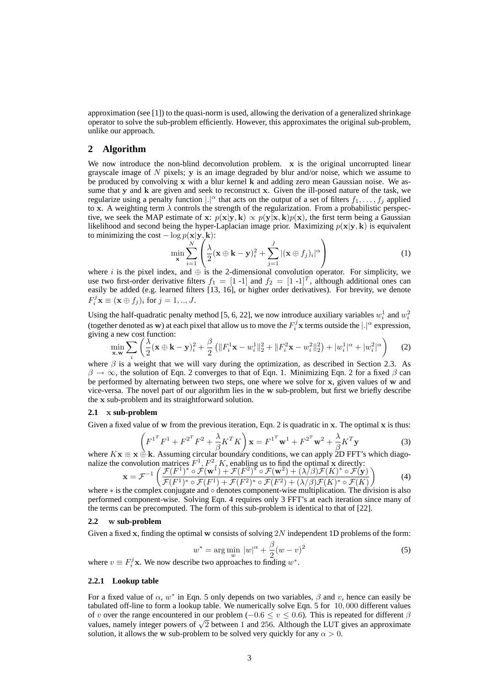approximation (see [1]) to the quasi-norm is used, allowing the derivation of a generalized shrinkage operator to solve the sub-problem efficiently. However, this approximates the original sub-problem, unlike our approach.

## **2 Algorithm**

We now introduce the non-blind deconvolution problem. x is the original uncorrupted linear grayscale image of  $N$  pixels;  $y$  is an image degraded by blur and/or noise, which we assume to be produced by convolving x with a blur kernel k and adding zero mean Gaussian noise. We assume that y and k are given and seek to reconstruct x. Given the ill-posed nature of the task, we regularize using a penalty function  $|\cdot|^{\alpha}$  that acts on the output of a set of filters  $f_1, \ldots, f_j$  applied to x. A weighting term  $\lambda$  controls the strength of the regularization. From a probabilistic perspective, we seek the MAP estimate of x:  $p(x|y, k) \propto p(y|x, k)p(x)$ , the first term being a Gaussian likelihood and second being the hyper-Laplacian image prior. Maximizing  $p(x|y, k)$  is equivalent to minimizing the cost  $-\log p(\mathbf{x}|\mathbf{y}, \mathbf{k})$ :

$$
\min_{\mathbf{x}} \sum_{i=1}^{N} \left( \frac{\lambda}{2} (\mathbf{x} \oplus \mathbf{k} - \mathbf{y})_i^2 + \sum_{j=1}^{J} |(\mathbf{x} \oplus f_j)_i|^\alpha \right) \tag{1}
$$

where i is the pixel index, and  $\oplus$  is the 2-dimensional convolution operator. For simplicity, we use two first-order derivative filters  $f_1 = [1 \text{ -1}]$  and  $f_2 = [1 \text{ -1}]^T$ , although additional ones can easily be added (e.g. learned filters [13, 16], or higher order derivatives). For brevity, we denote  $F_i^j \mathbf{x} \equiv (\mathbf{x} \oplus f_j)_i \text{ for } j = 1, ..., J.$ 

Using the half-quadratic penalty method [5, 6, 22], we now introduce auxiliary variables  $w_i^1$  and  $w_i^2$ (together denoted as w) at each pixel that allow us to move the  $F_i^j$ **x** terms outside the  $|.|^\alpha$  expression, giving a new cost function:

$$
\min_{\mathbf{x}, \mathbf{w}} \sum_{i} \left( \frac{\lambda}{2} (\mathbf{x} \oplus \mathbf{k} - \mathbf{y})_i^2 + \frac{\beta}{2} \left( \|F_i^1 \mathbf{x} - w_i^1\|_2^2 + \|F_i^2 \mathbf{x} - w_i^2\|_2^2 \right) + |w_i^1|^\alpha + |w_i^2|^\alpha \right) \tag{2}
$$

where  $\beta$  is a weight that we will vary during the optimization, as described in Section 2.3. As  $\beta \to \infty$ , the solution of Eqn. 2 converges to that of Eqn. 1. Minimizing Eqn. 2 for a fixed  $\beta$  can be performed by alternating between two steps, one where we solve for x, given values of w and vice-versa. The novel part of our algorithm lies in the w sub-problem, but first we briefly describe the x sub-problem and its straightforward solution.

#### **2.1** x **sub-problem**

Given a fixed value of w from the previous iteration, Eqn. 2 is quadratic in  $x$ . The optimal  $x$  is thus:

$$
\left(F^{1^T}F^1 + F^{2^T}F^2 + \frac{\lambda}{\beta}K^TK\right)\mathbf{x} = F^{1^T}\mathbf{w}^1 + F^{2^T}\mathbf{w}^2 + \frac{\lambda}{\beta}K^T\mathbf{y}
$$
\n(3)

where  $K\mathbf{x} \equiv \mathbf{x} \oplus \mathbf{k}$ . Assuming circular boundary conditions, we can apply 2D FFT's which diagonalize the convolution matrices  $F^1, F^2, K$ , enabling us to find the optimal x directly:

$$
\mathbf{x} = \mathcal{F}^{-1} \left( \frac{\mathcal{F}(F^1)^* \circ \mathcal{F}(\mathbf{w}^1) + \mathcal{F}(F^2)^* \circ \mathcal{F}(\mathbf{w}^2) + (\lambda/\beta)\mathcal{F}(K)^* \circ \mathcal{F}(\mathbf{y})}{\mathcal{F}(F^1)^* \circ \mathcal{F}(F^1) + \mathcal{F}(F^2)^* \circ \mathcal{F}(F^2) + (\lambda/\beta)\mathcal{F}(K)^* \circ \mathcal{F}(K)} \right)
$$
(4)

where ∗ is the complex conjugate and ∘ denotes component-wise multiplication. The division is also performed component-wise. Solving Eqn. 4 requires only 3 FFT's at each iteration since many of the terms can be precomputed. The form of this sub-problem is identical to that of [22].

#### **2.2** w **sub-problem**

Given a fixed x, finding the optimal w consists of solving  $2N$  independent 1D problems of the form:

$$
w^* = \arg\min_{w} |w|^\alpha + \frac{\beta}{2}(w - v)^2
$$
 (5)

where  $v \equiv F_i^j \mathbf{x}$ . We now describe two approaches to finding  $w^*$ .

## **2.2.1 Lookup table**

For a fixed value of  $\alpha$ ,  $w^*$  in Eqn. 5 only depends on two variables,  $\beta$  and  $v$ , hence can easily be tabulated off-line to form a lookup table. We numerically solve Eqn. 5 for 10, 000 different values of v over the range encountered in our problem ( $-0.6 \le v \le 0.6$ ). This is repeated for different  $\beta$ values, namely integer powers of  $\sqrt{2}$  between 1 and 256. Although the LUT gives an approximate solution, it allows the w sub-problem to be solved very quickly for any  $\alpha > 0$ .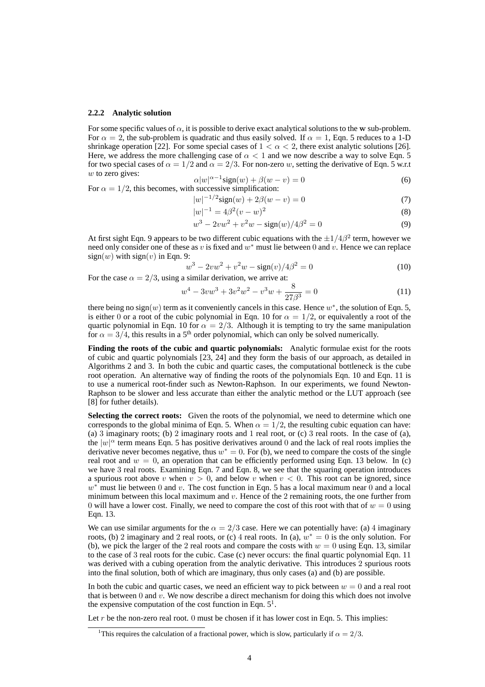#### **2.2.2 Analytic solution**

For some specific values of  $\alpha$ , it is possible to derive exact analytical solutions to the w sub-problem. For  $\alpha = 2$ , the sub-problem is quadratic and thus easily solved. If  $\alpha = 1$ , Eqn. 5 reduces to a 1-D shrinkage operation [22]. For some special cases of  $1 < \alpha < 2$ , there exist analytic solutions [26]. Here, we address the more challenging case of  $\alpha < 1$  and we now describe a way to solve Eqn. 5 for two special cases of  $\alpha = 1/2$  and  $\alpha = 2/3$ . For non-zero w, setting the derivative of Eqn. 5 w.r.t  $w$  to zero gives:

$$
\alpha |w|^{\alpha - 1} \text{sign}(w) + \beta (w - v) = 0 \tag{6}
$$

For 
$$
\alpha = 1/2
$$
, this becomes, with successive simplification:

$$
|w|^{-1/2}\text{sign}(w) + 2\beta(w - v) = 0\tag{7}
$$

$$
|w|^{-1} = 4\beta^2 (v - w)^2
$$
\n(8)

$$
w^{3} - 2vw^{2} + v^{2}w - sign(w)/4\beta^{2} = 0
$$
\n(9)

At first sight Eqn. 9 appears to be two different cubic equations with the  $\pm 1/4\beta^2$  term, however we need only consider one of these as v is fixed and  $w^*$  must lie between 0 and v. Hence we can replace  $sign(w)$  with  $sign(v)$  in Eqn. 9:

$$
w^3 - 2vw^2 + v^2w - \text{sign}(v)/4\beta^2 = 0
$$
\n(10)

For the case  $\alpha = 2/3$ , using a similar derivation, we arrive at:

$$
w^4 - 3vw^3 + 3v^2w^2 - v^3w + \frac{8}{27\beta^3} = 0
$$
\n(11)

there being no sign(w) term as it conveniently cancels in this case. Hence  $w^*$ , the solution of Eqn. 5, is either 0 or a root of the cubic polynomial in Eqn. 10 for  $\alpha = 1/2$ , or equivalently a root of the quartic polynomial in Eqn. 10 for  $\alpha = 2/3$ . Although it is tempting to try the same manipulation for  $\alpha = 3/4$ , this results in a 5<sup>th</sup> order polynomial, which can only be solved numerically.

**Finding the roots of the cubic and quartic polynomials:** Analytic formulae exist for the roots of cubic and quartic polynomials [23, 24] and they form the basis of our approach, as detailed in Algorithms 2 and 3. In both the cubic and quartic cases, the computational bottleneck is the cube root operation. An alternative way of finding the roots of the polynomials Eqn. 10 and Eqn. 11 is to use a numerical root-finder such as Newton-Raphson. In our experiments, we found Newton-Raphson to be slower and less accurate than either the analytic method or the LUT approach (see [8] for futher details).

Selecting the correct roots: Given the roots of the polynomial, we need to determine which one corresponds to the global minima of Eqn. 5. When  $\alpha = 1/2$ , the resulting cubic equation can have: (a) 3 imaginary roots; (b) 2 imaginary roots and 1 real root, or (c) 3 real roots. In the case of (a), the  $|w|^{\alpha}$  term means Eqn. 5 has positive derivatives around 0 and the lack of real roots implies the derivative never becomes negative, thus  $w^* = 0$ . For (b), we need to compare the costs of the single real root and  $w = 0$ , an operation that can be efficiently performed using Eqn. 13 below. In (c) we have 3 real roots. Examining Eqn. 7 and Eqn. 8, we see that the squaring operation introduces a spurious root above v when  $v > 0$ , and below v when  $v < 0$ . This root can be ignored, since  $w^*$  must lie between 0 and v. The cost function in Eqn. 5 has a local maximum near 0 and a local minimum between this local maximum and  $v$ . Hence of the 2 remaining roots, the one further from 0 will have a lower cost. Finally, we need to compare the cost of this root with that of  $w = 0$  using Eqn. 13.

We can use similar arguments for the  $\alpha = 2/3$  case. Here we can potentially have: (a) 4 imaginary roots, (b) 2 imaginary and 2 real roots, or (c) 4 real roots. In (a),  $w^* = 0$  is the only solution. For (b), we pick the larger of the 2 real roots and compare the costs with  $w = 0$  using Eqn. 13, similar to the case of 3 real roots for the cubic. Case (c) never occurs: the final quartic polynomial Eqn. 11 was derived with a cubing operation from the analytic derivative. This introduces 2 spurious roots into the final solution, both of which are imaginary, thus only cases (a) and (b) are possible.

In both the cubic and quartic cases, we need an efficient way to pick between  $w = 0$  and a real root that is between 0 and  $\dot{v}$ . We now describe a direct mechanism for doing this which does not involve the expensive computation of the cost function in Eqn.  $5<sup>1</sup>$ .

Let r be the non-zero real root. 0 must be chosen if it has lower cost in Eqn. 5. This implies:

<sup>&</sup>lt;sup>1</sup>This requires the calculation of a fractional power, which is slow, particularly if  $\alpha = 2/3$ .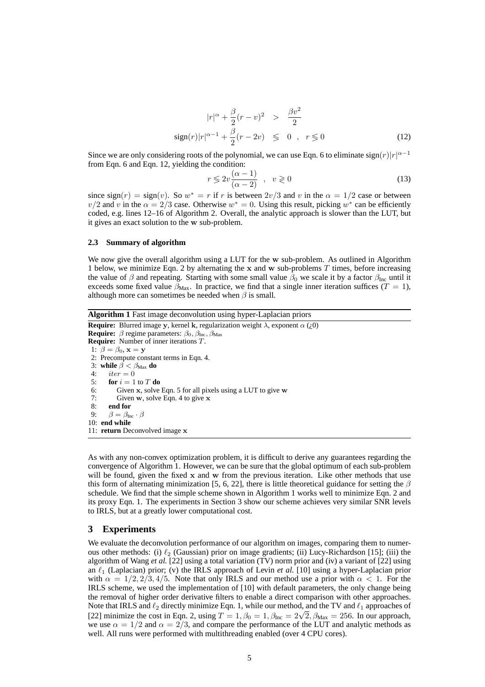$$
|r|^{\alpha} + \frac{\beta}{2}(r - v)^2 > \frac{\beta v^2}{2}
$$
  
sign(r)|r|^{\alpha - 1} +  $\frac{\beta}{2}(r - 2v) \le 0$ ,  $r \le 0$  (12)

Since we are only considering roots of the polynomial, we can use Eqn. 6 to eliminate  $sign(r)|r|^{\alpha-1}$ from Eqn. 6 and Eqn. 12, yielding the condition:

$$
r \leqslant 2v \frac{(\alpha - 1)}{(\alpha - 2)} , \quad v \geqslant 0
$$
\n<sup>(13)</sup>

since sign(r) = sign(v). So  $w^* = r$  if r is between  $2v/3$  and v in the  $\alpha = 1/2$  case or between  $v/2$  and v in the  $\alpha = 2/3$  case. Otherwise  $w^* = 0$ . Using this result, picking  $w^*$  can be efficiently coded, e.g. lines 12–16 of Algorithm 2. Overall, the analytic approach is slower than the LUT, but it gives an exact solution to the w sub-problem.

#### **2.3 Summary of algorithm**

We now give the overall algorithm using a LUT for the w sub-problem. As outlined in Algorithm 1 below, we minimize Eqn. 2 by alternating the  $x$  and  $w$  sub-problems  $T$  times, before increasing the value of  $\beta$  and repeating. Starting with some small value  $\beta_0$  we scale it by a factor  $\beta_{\text{Inc}}$  until it exceeds some fixed value  $\beta_{\text{Max}}$ . In practice, we find that a single inner iteration suffices (T = 1), although more can sometimes be needed when  $\beta$  is small.

**Algorithm 1** Fast image deconvolution using hyper-Laplacian priors

**Require:** Blurred image y, kernel k, regularization weight  $\lambda$ , exponent  $\alpha$  (*i*,0) **Require:**  $\beta$  regime parameters:  $\beta_0$ ,  $\beta_{\text{Inc}}$ ,  $\beta_{\text{Max}}$ **Require:** Number of inner iterations T. 1:  $\beta = \beta_0$ ,  $\mathbf{x} = \mathbf{y}$ 2: Precompute constant terms in Eqn. 4. 3: **while**  $\beta < \beta_{\text{Max}}$  **do**<br>4. *iter* = 0  $iter = 0$ 5: **for**  $i = 1$  to  $T$  **do** 6: Given x, solve Eqn. 5 for all pixels using a LUT to give w 7: Given w, solve Eqn. 4 to give x 8: **end for**<br>9:  $\beta = \beta_{\text{In}}$  $\beta = \beta_{\text{Inc}} \cdot \beta$ 10: **end while** 11: **return** Deconvolved image x

As with any non-convex optimization problem, it is difficult to derive any guarantees regarding the convergence of Algorithm 1. However, we can be sure that the global optimum of each sub-problem will be found, given the fixed  $x$  and  $w$  from the previous iteration. Like other methods that use this form of alternating minimization [5, 6, 22], there is little theoretical guidance for setting the  $\beta$ schedule. We find that the simple scheme shown in Algorithm 1 works well to minimize Eqn. 2 and its proxy Eqn. 1. The experiments in Section 3 show our scheme achieves very similar SNR levels to IRLS, but at a greatly lower computational cost.

## **3 Experiments**

We evaluate the deconvolution performance of our algorithm on images, comparing them to numerous other methods: (i)  $\ell_2$  (Gaussian) prior on image gradients; (ii) Lucy-Richardson [15]; (iii) the algorithm of Wang *et al.* [22] using a total variation (TV) norm prior and (iv) a variant of [22] using an  $\ell_1$  (Laplacian) prior; (v) the IRLS approach of Levin *et al.* [10] using a hyper-Laplacian prior with  $\alpha = 1/2, 2/3, 4/5$ . Note that only IRLS and our method use a prior with  $\alpha < 1$ . For the IRLS scheme, we used the implementation of [10] with default parameters, the only change being the removal of higher order derivative filters to enable a direct comparison with other approaches. Note that IRLS and  $\ell_2$  directly minimize Eqn. 1, while our method, and the TV and  $\ell_1$  approaches of [22] minimize the cost in Eqn. 2, using  $T = 1$ ,  $\beta_0 = 1$ ,  $\beta_{\text{Inc}} = 2\sqrt{2}$ ,  $\beta_{\text{Max}} = 256$ . In our approach, we use  $\alpha = 1/2$  and  $\alpha = 2/3$ , and compare the performance of the LUT and analytic methods as well. All runs were performed with multithreading enabled (over 4 CPU cores).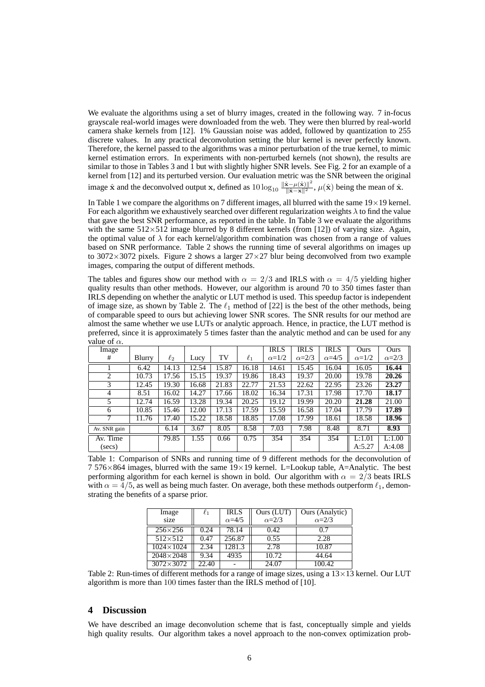We evaluate the algorithms using a set of blurry images, created in the following way. 7 in-focus grayscale real-world images were downloaded from the web. They were then blurred by real-world camera shake kernels from [12]. 1% Gaussian noise was added, followed by quantization to 255 discrete values. In any practical deconvolution setting the blur kernel is never perfectly known. Therefore, the kernel passed to the algorithms was a minor perturbation of the true kernel, to mimic kernel estimation errors. In experiments with non-perturbed kernels (not shown), the results are similar to those in Tables 3 and 1 but with slightly higher SNR levels. See Fig. 2 for an example of a kernel from [12] and its perturbed version. Our evaluation metric was the SNR between the original image  $\hat{\mathbf{x}}$  and the deconvolved output x, defined as  $10 \log_{10} \frac{\|\hat{\mathbf{x}}-\mu(\hat{\mathbf{x}})\|^2}{\|\hat{\mathbf{x}}-\mathbf{x}\|^2}$ ,  $\mu(\hat{\mathbf{x}})$  being the mean of  $\hat{\mathbf{x}}$ .

In Table 1 we compare the algorithms on 7 different images, all blurred with the same  $19 \times 19$  kernel. For each algorithm we exhaustively searched over different regularization weights  $\lambda$  to find the value that gave the best SNR performance, as reported in the table. In Table 3 we evaluate the algorithms with the same  $512\times512$  image blurred by 8 different kernels (from [12]) of varying size. Again, the optimal value of  $\lambda$  for each kernel/algorithm combination was chosen from a range of values based on SNR performance. Table 2 shows the running time of several algorithms on images up to 3072 $\times$ 3072 pixels. Figure 2 shows a larger  $27\times27$  blur being deconvolved from two example images, comparing the output of different methods.

The tables and figures show our method with  $\alpha = 2/3$  and IRLS with  $\alpha = 4/5$  yielding higher quality results than other methods. However, our algorithm is around 70 to 350 times faster than IRLS depending on whether the analytic or LUT method is used. This speedup factor is independent of image size, as shown by Table 2. The  $\ell_1$  method of [22] is the best of the other methods, being of comparable speed to ours but achieving lower SNR scores. The SNR results for our method are almost the same whether we use LUTs or analytic approach. Hence, in practice, the LUT method is preferred, since it is approximately 5 times faster than the analytic method and can be used for any value of  $\alpha$ 

| $\alpha$ . $\alpha$ |        |          |       |       |          |              |              |                |              |              |
|---------------------|--------|----------|-------|-------|----------|--------------|--------------|----------------|--------------|--------------|
| Image               |        |          |       |       |          | <b>IRLS</b>  | <b>IRLS</b>  | <b>IRLS</b>    | Ours         | Ours         |
| #                   | Blurry | $\ell_2$ | Lucy  | TV    | $\ell_1$ | $\alpha=1/2$ | $\alpha=2/3$ | $\alpha = 4/5$ | $\alpha=1/2$ | $\alpha=2/3$ |
|                     | 6.42   | 14.13    | 12.54 | 15.87 | 16.18    | 14.61        | 15.45        | 16.04          | 16.05        | 16.44        |
| 2                   | 10.73  | 17.56    | 15.15 | 19.37 | 19.86    | 18.43        | 19.37        | 20.00          | 19.78        | 20.26        |
| 3                   | 12.45  | 19.30    | 16.68 | 21.83 | 22.77    | 21.53        | 22.62        | 22.95          | 23.26        | 23.27        |
| 4                   | 8.51   | 16.02    | 14.27 | 17.66 | 18.02    | 16.34        | 17.31        | 17.98          | 17.70        | 18.17        |
| 5                   | 12.74  | 16.59    | 13.28 | 19.34 | 20.25    | 19.12        | 19.99        | 20.20          | 21.28        | 21.00        |
| 6                   | 10.85  | 15.46    | 12.00 | 17.13 | 17.59    | 15.59        | 16.58        | 17.04          | 17.79        | 17.89        |
| 7                   | 11.76  | 17.40    | 15.22 | 18.58 | 18.85    | 17.08        | 17.99        | 18.61          | 18.58        | 18.96        |
| Av. SNR gain        |        | 6.14     | 3.67  | 8.05  | 8.58     | 7.03         | 7.98         | 8.48           | 8.71         | 8.93         |
| Av. Time            |        | 79.85    | 1.55  | 0.66  | 0.75     | 354          | 354          | 354            | L:1.01       | L:1.00       |
| (secs)              |        |          |       |       |          |              |              |                | A:5.27       | A:4.08       |

Table 1: Comparison of SNRs and running time of 9 different methods for the deconvolution of 7 576×864 images, blurred with the same 19×19 kernel. L=Lookup table, A=Analytic. The best performing algorithm for each kernel is shown in bold. Our algorithm with  $\alpha = 2/3$  beats IRLS with  $\alpha = 4/5$ , as well as being much faster. On average, both these methods outperform  $\ell_1$ , demonstrating the benefits of a sparse prior.

| Image<br>$\ell_1$  |       | <b>IRLS</b>    | Ours (LUT)   | Ours (Analytic) |  |  |
|--------------------|-------|----------------|--------------|-----------------|--|--|
| size               |       | $\alpha = 4/5$ | $\alpha=2/3$ | $\alpha = 2/3$  |  |  |
| $256 \times 256$   | 0.24  | 78.14          | 0.42         | 0.7             |  |  |
| $512\times512$     | 0.47  | 256.87         | 0.55         | 2.28            |  |  |
| $1024 \times 1024$ | 2.34  | 1281.3         | 2.78         | 10.87           |  |  |
| $2048 \times 2048$ | 9.34  | 4935           | 10.72        | 44.64           |  |  |
| $3072\times3072$   | 22.40 |                | 24.07        | 100.42          |  |  |

Table 2: Run-times of different methods for a range of image sizes, using a  $13 \times 13$  kernel. Our LUT algorithm is more than 100 times faster than the IRLS method of [10].

## **4 Discussion**

We have described an image deconvolution scheme that is fast, conceptually simple and yields high quality results. Our algorithm takes a novel approach to the non-convex optimization prob-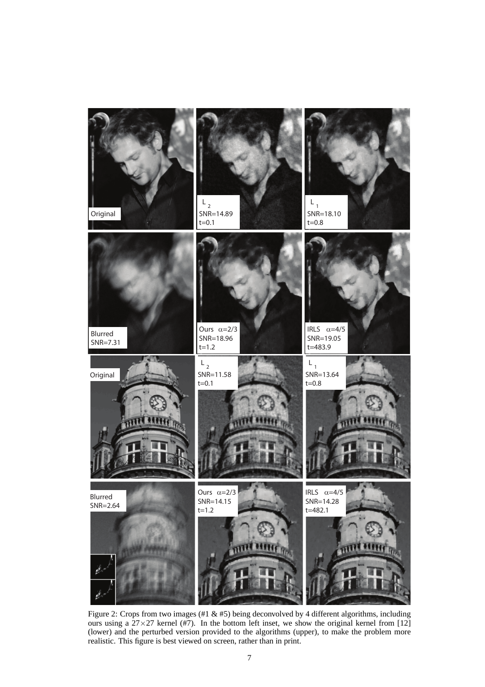

Figure 2: Crops from two images (#1 & #5) being deconvolved by 4 different algorithms, including ours using a  $27 \times 27$  kernel (#7). In the bottom left inset, we show the original kernel from [12] (lower) and the perturbed version provided to the algorithms (upper), to make the problem more realistic. This figure is best viewed on screen, rather than in print.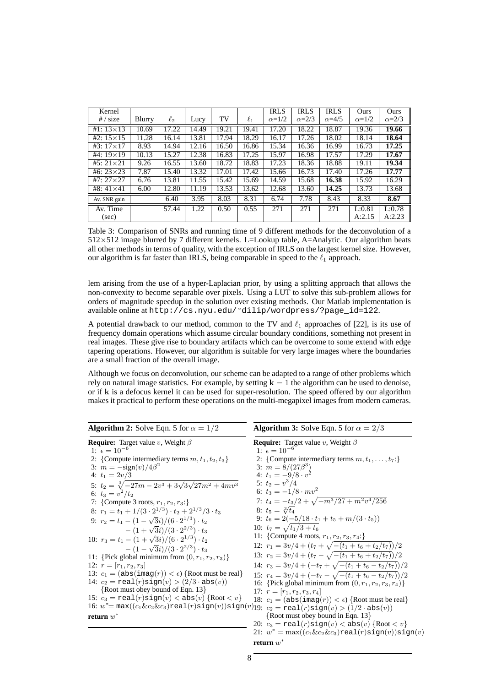| Kernel             |        |          |       |       |          | <b>IRLS</b>  | <b>IRLS</b>    | <b>IRLS</b>    | Ours         | Ours         |
|--------------------|--------|----------|-------|-------|----------|--------------|----------------|----------------|--------------|--------------|
| # / size           | Blurry | $\ell_2$ | Lucy  | TV    | $\ell_1$ | $\alpha=1/2$ | $\alpha = 2/3$ | $\alpha = 4/5$ | $\alpha=1/2$ | $\alpha=2/3$ |
| #1: $13 \times 13$ | 10.69  | 17.22    | 14.49 | 19.21 | 19.41    | 17.20        | 18.22          | 18.87          | 19.36        | 19.66        |
| #2: $15 \times 15$ | 11.28  | 16.14    | 13.81 | 17.94 | 18.29    | 16.17        | 17.26          | 18.02          | 18.14        | 18.64        |
| $#3: 17 \times 17$ | 8.93   | 14.94    | 12.16 | 16.50 | 16.86    | 15.34        | 16.36          | 16.99          | 16.73        | 17.25        |
| #4: $19 \times 19$ | 10.13  | 15.27    | 12.38 | 16.83 | 17.25    | 15.97        | 16.98          | 17.57          | 17.29        | 17.67        |
| $#5: 21 \times 21$ | 9.26   | 16.55    | 13.60 | 18.72 | 18.83    | 17.23        | 18.36          | 18.88          | 19.11        | 19.34        |
| #6: $23 \times 23$ | 7.87   | 15.40    | 13.32 | 17.01 | 17.42    | 15.66        | 16.73          | 17.40          | 17.26        | 17.77        |
| #7: $27 \times 27$ | 6.76   | 13.81    | 11.55 | 15.42 | 15.69    | 14.59        | 15.68          | 16.38          | 15.92        | 16.29        |
| #8: $41 \times 41$ | 6.00   | 12.80    | 11.19 | 13.53 | 13.62    | 12.68        | 13.60          | 14.25          | 13.73        | 13.68        |
| Av. SNR gain       |        | 6.40     | 3.95  | 8.03  | 8.31     | 6.74         | 7.78           | 8.43           | 8.33         | 8.67         |
| Av. Time           |        | 57.44    | .22   | 0.50  | 0.55     | 271          | 271            | 271            | L:0.81       | L:0.78       |
| (sec)              |        |          |       |       |          |              |                |                | A:2.15       | A:2.23       |

Table 3: Comparison of SNRs and running time of 9 different methods for the deconvolution of a  $512\times512$  image blurred by 7 different kernels. L=Lookup table, A=Analytic. Our algorithm beats all other methods in terms of quality, with the exception of IRLS on the largest kernel size. However, our algorithm is far faster than IRLS, being comparable in speed to the  $\ell_1$  approach.

lem arising from the use of a hyper-Laplacian prior, by using a splitting approach that allows the non-convexity to become separable over pixels. Using a LUT to solve this sub-problem allows for orders of magnitude speedup in the solution over existing methods. Our Matlab implementation is available online at http://cs.nyu.edu/˜dilip/wordpress/?page\_id=122.

A potential drawback to our method, common to the TV and  $\ell_1$  approaches of [22], is its use of frequency domain operations which assume circular boundary conditions, something not present in real images. These give rise to boundary artifacts which can be overcome to some extend with edge tapering operations. However, our algorithm is suitable for very large images where the boundaries are a small fraction of the overall image.

Although we focus on deconvolution, our scheme can be adapted to a range of other problems which rely on natural image statistics. For example, by setting  $k = 1$  the algorithm can be used to denoise, or if k is a defocus kernel it can be used for super-resolution. The speed offered by our algorithm makes it practical to perform these operations on the multi-megapixel images from modern cameras.

| <b>Algorithm 2:</b> Solve Eqn. 5 for $\alpha = 1/2$                                                                                                      | <b>Algorithm 3:</b> Solve Eqn. 5 for $\alpha = 2/3$                                   |
|----------------------------------------------------------------------------------------------------------------------------------------------------------|---------------------------------------------------------------------------------------|
| <b>Require:</b> Target value v, Weight $\beta$                                                                                                           | <b>Require:</b> Target value v, Weight $\beta$                                        |
| 1: $\epsilon = 10^{-6}$                                                                                                                                  | 1: $\epsilon = 10^{-6}$                                                               |
| 2: {Compute intermediary terms $m, t_1, t_2, t_3$ }                                                                                                      | 2: {Compute intermediary terms $m, t_1, \ldots, t_7$ :}                               |
| 3: $m = -\text{sign}(v)/4\beta^2$                                                                                                                        | 3: $m = 8/(27\beta^3)$                                                                |
| 4: $t_1 = 2v/3$                                                                                                                                          | 4: $t_1 = -9/8 \cdot v^2$                                                             |
| 5: $t_2 = \sqrt[3]{-27m - 2v^3 + 3\sqrt{3}\sqrt{27m^2 + 4mv^3}}$                                                                                         | 5: $t_2 = v^3/4$                                                                      |
| 6: $t_3 = v^2/t_2$                                                                                                                                       | 6: $t_3 = -1/8 \cdot mv^2$                                                            |
| 7: {Compute 3 roots, $r_1, r_2, r_3$ :}                                                                                                                  | 7: $t_4 = -t_3/2 + \sqrt{-m^3/27 + m^2v^4/256}$                                       |
| 8: $r_1 = t_1 + 1/(3 \cdot 2^{1/3}) \cdot t_2 + 2^{1/3}/3 \cdot t_3$                                                                                     | 8: $t_5 = \sqrt[3]{t_4}$                                                              |
| 9: $r_2 = t_1 - (1 - \sqrt{3}i)/(6 \cdot 2^{1/3}) \cdot t_2$                                                                                             | 9: $t_6 = 2(-5/18 \cdot t_1 + t_5 + m/(3 \cdot t_5))$                                 |
| $-(1+\sqrt{3}i)/(3\cdot 2^{2/3})\cdot t_3$                                                                                                               | 10: $t_7 = \sqrt{t_1/3 + t_6}$                                                        |
| 10: $r_3 = t_1 - (1 + \sqrt{3}i)/(6 \cdot 2^{1/3}) \cdot t_2$                                                                                            | 11: {Compute 4 roots, $r_1, r_2, r_3, r_4$ :}                                         |
| $- (1 - \sqrt{3}i)/(3 \cdot 2^{2/3}) \cdot t_3$                                                                                                          | 12: $r_1 = 3v/4 + (t_7 + \sqrt{-(t_1 + t_6 + t_2/t_7)})/2$                            |
| 11: {Pick global minimum from $(0, r_1, r_2, r_3)$ }                                                                                                     | 13: $r_2 = 3v/4 + (t_7 - \sqrt{-(t_1 + t_6 + t_2/t_7)})/2$                            |
| 12: $r = [r_1, r_2, r_3]$                                                                                                                                | 14: $r_3 = 3v/4 + (-t_7 + \sqrt{-(t_1 + t_6 - t_2/t_7)})/2$                           |
| 13: $c_1 = (\text{abs}(imag(r)) < \epsilon)$ {Root must be real}                                                                                         | 15: $r_4 = 3v/4 + (-t_7 - \sqrt{-(t_1 + t_6 - t_2/t_7)})/2$                           |
| 14: $c_2 = \text{real}(r) \text{sign}(v) > (2/3 \cdot \text{abs}(v))$                                                                                    | 16: {Pick global minimum from $(0, r_1, r_2, r_3, r_4)$ }                             |
| $\{Root must obey bound of Eqn. 13\}$                                                                                                                    | 17: $r = [r_1, r_2, r_3, r_4]$                                                        |
| 15: $c_3 = \text{real}(r) \text{sign}(v) < \text{abs}(v)$ {Root $\langle v \rangle$ }                                                                    | 18: $c_1 = (\text{abs}(\text{imag}(r)) < \epsilon)$ {Root must be real}               |
| 16: $w^* = \max((c_1 \& c_2 \& c_3) \text{real}(r) \text{sign}(v)) \text{sign}(v)$ lg: $c_2 = \text{real}(r) \text{sign}(v) > (1/2 \cdot \text{abs}(v))$ |                                                                                       |
| return $w^\ast$                                                                                                                                          | $\{Root must obey bound in Eqn. 13\}$                                                 |
|                                                                                                                                                          | 20: $c_3 = \text{real}(r) \text{sign}(v) < \text{abs}(v)$ {Root $\langle v \rangle$ } |
|                                                                                                                                                          | 21: $w^* = \max((c_1 \& c_2 \& c_3)\text{real}(r) \text{sign}(v)) \text{sign}(v)$     |
|                                                                                                                                                          | return $w^*$                                                                          |

8